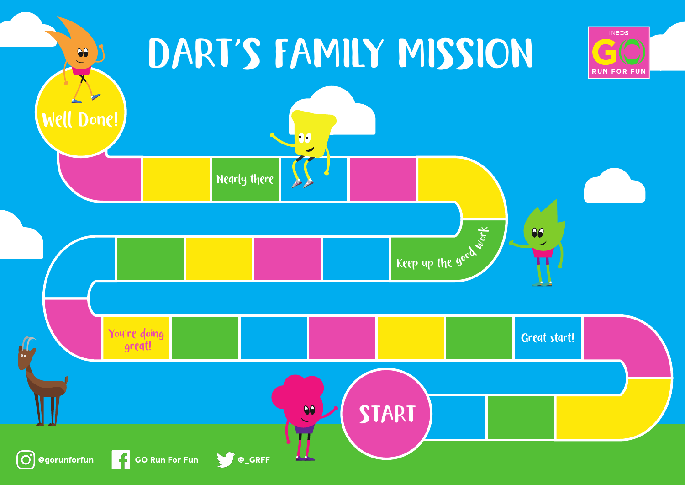